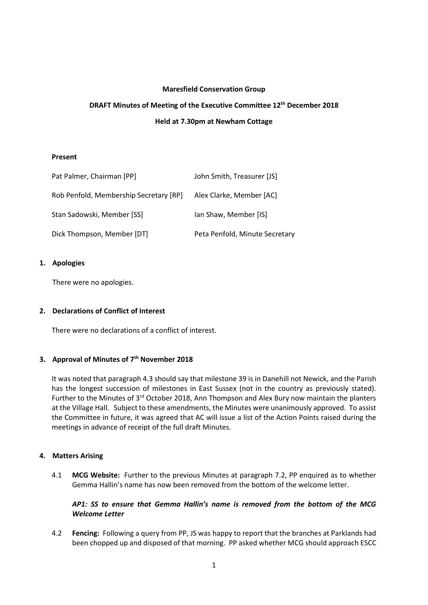## **Maresfield Conservation Group**

# **DRAFT Minutes of Meeting of the Executive Committee 12th December 2018 Held at 7.30pm at Newham Cottage**

## **Present**

| Pat Palmer, Chairman [PP]              | John Smith, Treasurer [JS]     |
|----------------------------------------|--------------------------------|
| Rob Penfold, Membership Secretary [RP] | Alex Clarke, Member [AC]       |
| Stan Sadowski, Member [SS]             | Ian Shaw, Member [IS]          |
| Dick Thompson, Member [DT]             | Peta Penfold, Minute Secretary |

#### **1. Apologies**

There were no apologies.

## **2. Declarations of Conflict of Interest**

There were no declarations of a conflict of interest.

## **3. Approval of Minutes of 7th November 2018**

It was noted that paragraph 4.3 should say that milestone 39 is in Danehill not Newick, and the Parish has the longest succession of milestones in East Sussex (not in the country as previously stated). Further to the Minutes of 3rd October 2018, Ann Thompson and Alex Bury now maintain the planters at the Village Hall. Subject to these amendments, the Minutes were unanimously approved. To assist the Committee in future, it was agreed that AC will issue a list of the Action Points raised during the meetings in advance of receipt of the full draft Minutes.

## **4. Matters Arising**

4.1 **MCG Website:** Further to the previous Minutes at paragraph 7.2, PP enquired as to whether Gemma Hallin's name has now been removed from the bottom of the welcome letter.

## *AP1: SS to ensure that Gemma Hallin's name is removed from the bottom of the MCG Welcome Letter*

4.2 **Fencing:** Following a query from PP, JS was happy to report that the branches at Parklands had been chopped up and disposed of that morning. PP asked whether MCG should approach ESCC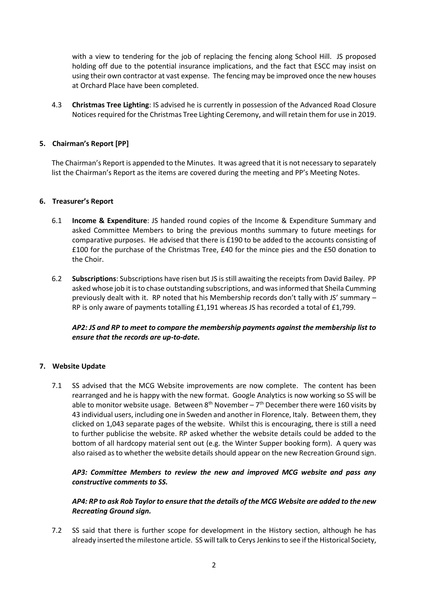with a view to tendering for the job of replacing the fencing along School Hill. JS proposed holding off due to the potential insurance implications, and the fact that ESCC may insist on using their own contractor at vast expense. The fencing may be improved once the new houses at Orchard Place have been completed.

4.3 **Christmas Tree Lighting**: IS advised he is currently in possession of the Advanced Road Closure Notices required for the Christmas Tree Lighting Ceremony, and will retain them for use in 2019.

# **5. Chairman's Report [PP]**

The Chairman's Report is appended to the Minutes. It was agreed that it is not necessary to separately list the Chairman's Report as the items are covered during the meeting and PP's Meeting Notes.

## **6. Treasurer's Report**

- 6.1 **Income & Expenditure**: JS handed round copies of the Income & Expenditure Summary and asked Committee Members to bring the previous months summary to future meetings for comparative purposes. He advised that there is £190 to be added to the accounts consisting of £100 for the purchase of the Christmas Tree, £40 for the mince pies and the £50 donation to the Choir.
- 6.2 **Subscriptions**: Subscriptions have risen but JS is still awaiting the receipts from David Bailey. PP asked whose job it is to chase outstanding subscriptions, and was informed that Sheila Cumming previously dealt with it. RP noted that his Membership records don't tally with JS' summary – RP is only aware of payments totalling £1,191 whereas JS has recorded a total of £1,799.

*AP2: JS and RP to meet to compare the membership payments against the membership list to ensure that the records are up-to-date.* 

## **7. Website Update**

7.1 SS advised that the MCG Website improvements are now complete. The content has been rearranged and he is happy with the new format. Google Analytics is now working so SS will be able to monitor website usage. Between 8<sup>th</sup> November – 7<sup>th</sup> December there were 160 visits by 43 individual users, including one in Sweden and another in Florence, Italy. Between them, they clicked on 1,043 separate pages of the website. Whilst this is encouraging, there is still a need to further publicise the website. RP asked whether the website details could be added to the bottom of all hardcopy material sent out (e.g. the Winter Supper booking form). A query was also raised as to whether the website details should appear on the new Recreation Ground sign.

*AP3: Committee Members to review the new and improved MCG website and pass any constructive comments to SS.*

# *AP4: RP to ask Rob Taylor to ensure that the details of the MCG Website are added to the new Recreating Ground sign.*

7.2 SS said that there is further scope for development in the History section, although he has already inserted the milestone article. SS will talk to Cerys Jenkins to see if the Historical Society,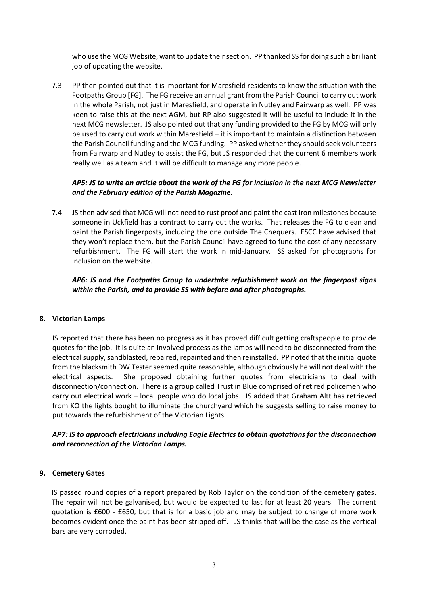who use the MCG Website, want to update their section. PP thanked SS for doing such a brilliant job of updating the website.

7.3 PP then pointed out that it is important for Maresfield residents to know the situation with the Footpaths Group [FG]. The FG receive an annual grant from the Parish Council to carry out work in the whole Parish, not just in Maresfield, and operate in Nutley and Fairwarp as well. PP was keen to raise this at the next AGM, but RP also suggested it will be useful to include it in the next MCG newsletter. JS also pointed out that any funding provided to the FG by MCG will only be used to carry out work within Maresfield – it is important to maintain a distinction between the Parish Council funding and the MCG funding. PP asked whether they should seek volunteers from Fairwarp and Nutley to assist the FG, but JS responded that the current 6 members work really well as a team and it will be difficult to manage any more people.

# *AP5: JS to write an article about the work of the FG for inclusion in the next MCG Newsletter and the February edition of the Parish Magazine.*

7.4 JS then advised that MCG will not need to rust proof and paint the cast iron milestones because someone in Uckfield has a contract to carry out the works. That releases the FG to clean and paint the Parish fingerposts, including the one outside The Chequers. ESCC have advised that they won't replace them, but the Parish Council have agreed to fund the cost of any necessary refurbishment. The FG will start the work in mid-January. SS asked for photographs for inclusion on the website.

# *AP6: JS and the Footpaths Group to undertake refurbishment work on the fingerpost signs within the Parish, and to provide SS with before and after photographs.*

## **8. Victorian Lamps**

IS reported that there has been no progress as it has proved difficult getting craftspeople to provide quotes for the job. It is quite an involved process as the lamps will need to be disconnected from the electrical supply, sandblasted, repaired, repainted and then reinstalled. PP noted that the initial quote from the blacksmith DW Tester seemed quite reasonable, although obviously he will not deal with the electrical aspects. She proposed obtaining further quotes from electricians to deal with disconnection/connection. There is a group called Trust in Blue comprised of retired policemen who carry out electrical work – local people who do local jobs. JS added that Graham Altt has retrieved from KO the lights bought to illuminate the churchyard which he suggests selling to raise money to put towards the refurbishment of the Victorian Lights.

# *AP7: IS to approach electricians including Eagle Electrics to obtain quotations for the disconnection and reconnection of the Victorian Lamps.*

## **9. Cemetery Gates**

IS passed round copies of a report prepared by Rob Taylor on the condition of the cemetery gates. The repair will not be galvanised, but would be expected to last for at least 20 years. The current quotation is £600 - £650, but that is for a basic job and may be subject to change of more work becomes evident once the paint has been stripped off. JS thinks that will be the case as the vertical bars are very corroded.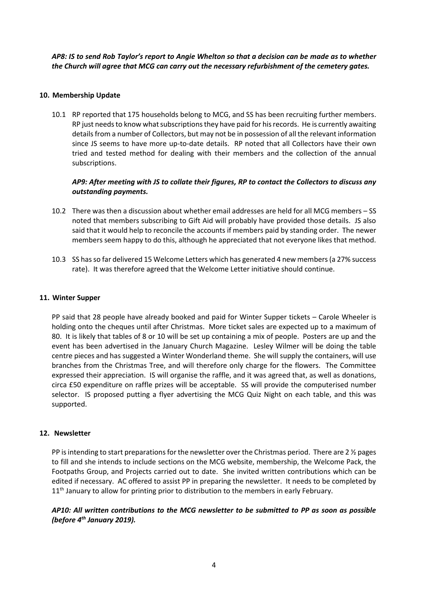*AP8: IS to send Rob Taylor's report to Angie Whelton so that a decision can be made as to whether the Church will agree that MCG can carry out the necessary refurbishment of the cemetery gates.*

## **10. Membership Update**

10.1 RP reported that 175 households belong to MCG, and SS has been recruiting further members. RP just needs to know what subscriptions they have paid for his records. He is currently awaiting details from a number of Collectors, but may not be in possession of all the relevant information since JS seems to have more up-to-date details. RP noted that all Collectors have their own tried and tested method for dealing with their members and the collection of the annual subscriptions.

## *AP9: After meeting with JS to collate their figures, RP to contact the Collectors to discuss any outstanding payments.*

- 10.2 There was then a discussion about whether email addresses are held for all MCG members SS noted that members subscribing to Gift Aid will probably have provided those details. JS also said that it would help to reconcile the accounts if members paid by standing order. The newer members seem happy to do this, although he appreciated that not everyone likes that method.
- 10.3 SS has so far delivered 15 Welcome Letters which has generated 4 new members (a 27% success rate). It was therefore agreed that the Welcome Letter initiative should continue.

#### **11. Winter Supper**

PP said that 28 people have already booked and paid for Winter Supper tickets – Carole Wheeler is holding onto the cheques until after Christmas. More ticket sales are expected up to a maximum of 80. It is likely that tables of 8 or 10 will be set up containing a mix of people. Posters are up and the event has been advertised in the January Church Magazine. Lesley Wilmer will be doing the table centre pieces and has suggested a Winter Wonderland theme. She will supply the containers, will use branches from the Christmas Tree, and will therefore only charge for the flowers. The Committee expressed their appreciation. IS will organise the raffle, and it was agreed that, as well as donations, circa £50 expenditure on raffle prizes will be acceptable. SS will provide the computerised number selector. IS proposed putting a flyer advertising the MCG Quiz Night on each table, and this was supported.

#### **12. Newsletter**

PP is intending to start preparations for the newsletter over the Christmas period. There are  $2 \frac{1}{2}$  pages to fill and she intends to include sections on the MCG website, membership, the Welcome Pack, the Footpaths Group, and Projects carried out to date. She invited written contributions which can be edited if necessary. AC offered to assist PP in preparing the newsletter. It needs to be completed by  $11<sup>th</sup>$  January to allow for printing prior to distribution to the members in early February.

## *AP10: All written contributions to the MCG newsletter to be submitted to PP as soon as possible (before 4th January 2019).*